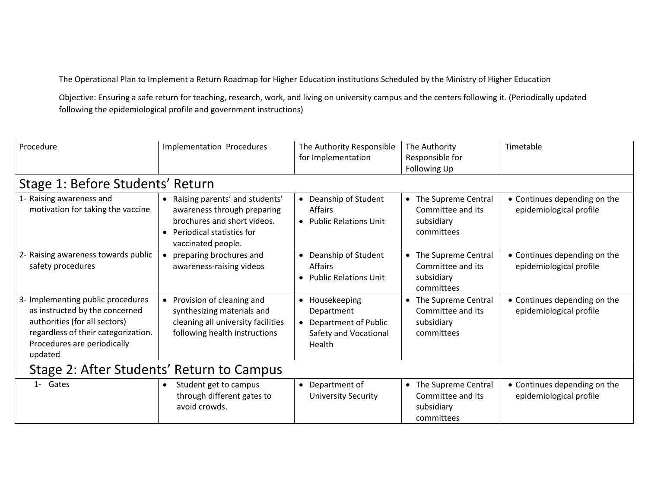The Operational Plan to Implement a Return Roadmap for Higher Education institutions Scheduled by the Ministry of Higher Education

Objective: Ensuring a safe return for teaching, research, work, and living on university campus and the centers following it. (Periodically updated following the epidemiological profile and government instructions)

| Procedure                                                                                                                                                                             | Implementation Procedures                                                                                                                         | The Authority Responsible<br>for Implementation                                           | The Authority<br>Responsible for<br>Following Up                                  | Timetable                                               |  |  |  |  |  |
|---------------------------------------------------------------------------------------------------------------------------------------------------------------------------------------|---------------------------------------------------------------------------------------------------------------------------------------------------|-------------------------------------------------------------------------------------------|-----------------------------------------------------------------------------------|---------------------------------------------------------|--|--|--|--|--|
|                                                                                                                                                                                       | Stage 1: Before Students' Return                                                                                                                  |                                                                                           |                                                                                   |                                                         |  |  |  |  |  |
| 1- Raising awareness and<br>motivation for taking the vaccine                                                                                                                         | • Raising parents' and students'<br>awareness through preparing<br>brochures and short videos.<br>Periodical statistics for<br>vaccinated people. | • Deanship of Student<br><b>Affairs</b><br>• Public Relations Unit                        | The Supreme Central<br>$\bullet$<br>Committee and its<br>subsidiary<br>committees | • Continues depending on the<br>epidemiological profile |  |  |  |  |  |
| 2- Raising awareness towards public<br>safety procedures                                                                                                                              | preparing brochures and<br>awareness-raising videos                                                                                               | • Deanship of Student<br><b>Affairs</b><br>• Public Relations Unit                        | The Supreme Central<br>$\bullet$<br>Committee and its<br>subsidiary<br>committees | • Continues depending on the<br>epidemiological profile |  |  |  |  |  |
| 3- Implementing public procedures<br>as instructed by the concerned<br>authorities (for all sectors)<br>regardless of their categorization.<br>Procedures are periodically<br>updated | Provision of cleaning and<br>$\bullet$<br>synthesizing materials and<br>cleaning all university facilities<br>following health instructions       | • Housekeeping<br>Department<br>• Department of Public<br>Safety and Vocational<br>Health | The Supreme Central<br>$\bullet$<br>Committee and its<br>subsidiary<br>committees | • Continues depending on the<br>epidemiological profile |  |  |  |  |  |
| Stage 2: After Students' Return to Campus                                                                                                                                             |                                                                                                                                                   |                                                                                           |                                                                                   |                                                         |  |  |  |  |  |
| 1- Gates                                                                                                                                                                              | Student get to campus<br>through different gates to<br>avoid crowds.                                                                              | • Department of<br><b>University Security</b>                                             | The Supreme Central<br>$\bullet$<br>Committee and its<br>subsidiary<br>committees | • Continues depending on the<br>epidemiological profile |  |  |  |  |  |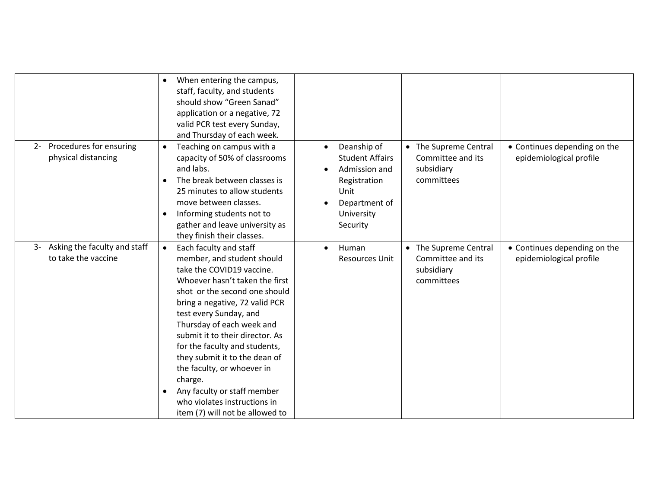|                                                         | When entering the campus,<br>staff, faculty, and students<br>should show "Green Sanad"<br>application or a negative, 72<br>valid PCR test every Sunday,<br>and Thursday of each week.                                                                                                                                                                                                                                                                                                                      |                                                                                                                           |                                                                        |                                                         |
|---------------------------------------------------------|------------------------------------------------------------------------------------------------------------------------------------------------------------------------------------------------------------------------------------------------------------------------------------------------------------------------------------------------------------------------------------------------------------------------------------------------------------------------------------------------------------|---------------------------------------------------------------------------------------------------------------------------|------------------------------------------------------------------------|---------------------------------------------------------|
| Procedures for ensuring<br>$2 -$<br>physical distancing | Teaching on campus with a<br>$\bullet$<br>capacity of 50% of classrooms<br>and labs.<br>The break between classes is<br>25 minutes to allow students<br>move between classes.<br>Informing students not to<br>$\bullet$<br>gather and leave university as<br>they finish their classes.                                                                                                                                                                                                                    | Deanship of<br><b>Student Affairs</b><br>Admission and<br>Registration<br>Unit<br>Department of<br>University<br>Security | • The Supreme Central<br>Committee and its<br>subsidiary<br>committees | • Continues depending on the<br>epidemiological profile |
| 3- Asking the faculty and staff<br>to take the vaccine  | Each faculty and staff<br>$\bullet$<br>member, and student should<br>take the COVID19 vaccine.<br>Whoever hasn't taken the first<br>shot or the second one should<br>bring a negative, 72 valid PCR<br>test every Sunday, and<br>Thursday of each week and<br>submit it to their director. As<br>for the faculty and students,<br>they submit it to the dean of<br>the faculty, or whoever in<br>charge.<br>Any faculty or staff member<br>who violates instructions in<br>item (7) will not be allowed to | Human<br>$\bullet$<br><b>Resources Unit</b>                                                                               | • The Supreme Central<br>Committee and its<br>subsidiary<br>committees | • Continues depending on the<br>epidemiological profile |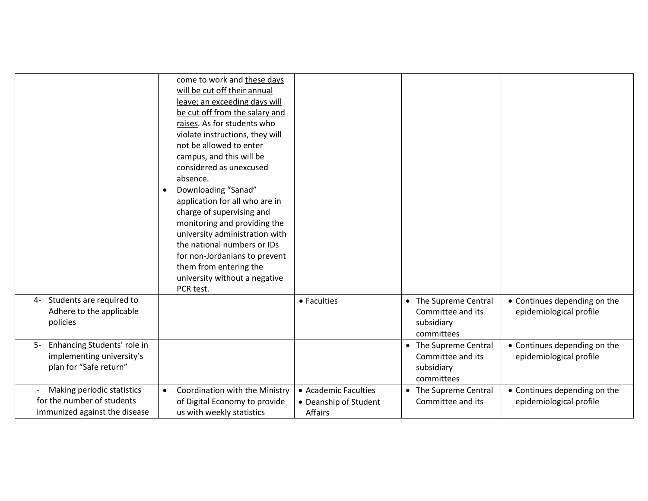|                                                                                           | come to work and these days<br>will be cut off their annual<br>leave; an exceeding days will<br>be cut off from the salary and<br>raises. As for students who<br>violate instructions, they will<br>not be allowed to enter<br>campus, and this will be<br>considered as unexcused<br>absence.<br>Downloading "Sanad"<br>$\bullet$<br>application for all who are in<br>charge of supervising and<br>monitoring and providing the<br>university administration with<br>the national numbers or IDs<br>for non-Jordanians to prevent<br>them from entering the<br>university without a negative<br>PCR test. |                                                                 |                                                                                   |                                                         |
|-------------------------------------------------------------------------------------------|-------------------------------------------------------------------------------------------------------------------------------------------------------------------------------------------------------------------------------------------------------------------------------------------------------------------------------------------------------------------------------------------------------------------------------------------------------------------------------------------------------------------------------------------------------------------------------------------------------------|-----------------------------------------------------------------|-----------------------------------------------------------------------------------|---------------------------------------------------------|
| Students are required to<br>4-<br>Adhere to the applicable<br>policies                    |                                                                                                                                                                                                                                                                                                                                                                                                                                                                                                                                                                                                             | • Faculties                                                     | The Supreme Central<br>$\bullet$<br>Committee and its<br>subsidiary<br>committees | • Continues depending on the<br>epidemiological profile |
| 5- Enhancing Students' role in<br>implementing university's<br>plan for "Safe return"     |                                                                                                                                                                                                                                                                                                                                                                                                                                                                                                                                                                                                             |                                                                 | The Supreme Central<br>$\bullet$<br>Committee and its<br>subsidiary<br>committees | • Continues depending on the<br>epidemiological profile |
| Making periodic statistics<br>for the number of students<br>immunized against the disease | Coordination with the Ministry<br>$\bullet$<br>of Digital Economy to provide<br>us with weekly statistics                                                                                                                                                                                                                                                                                                                                                                                                                                                                                                   | • Academic Faculties<br>• Deanship of Student<br><b>Affairs</b> | The Supreme Central<br>$\bullet$<br>Committee and its                             | • Continues depending on the<br>epidemiological profile |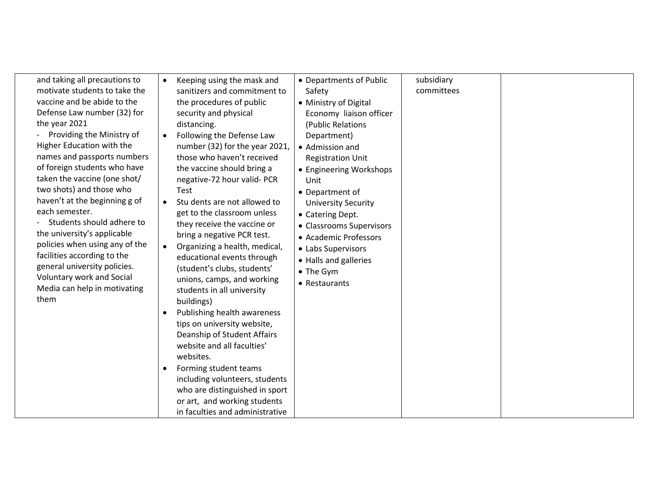| and taking all precautions to  | Keeping using the mask and<br>$\bullet$    | • Departments of Public    | subsidiary |  |
|--------------------------------|--------------------------------------------|----------------------------|------------|--|
| motivate students to take the  | sanitizers and commitment to               | Safety                     | committees |  |
| vaccine and be abide to the    | the procedures of public                   | • Ministry of Digital      |            |  |
| Defense Law number (32) for    | security and physical                      | Economy liaison officer    |            |  |
| the year 2021                  | distancing.                                | (Public Relations          |            |  |
| Providing the Ministry of      | Following the Defense Law<br>$\bullet$     | Department)                |            |  |
| Higher Education with the      | number (32) for the year 2021,             | • Admission and            |            |  |
| names and passports numbers    | those who haven't received                 | <b>Registration Unit</b>   |            |  |
| of foreign students who have   | the vaccine should bring a                 | • Engineering Workshops    |            |  |
| taken the vaccine (one shot/   | negative-72 hour valid- PCR                | Unit                       |            |  |
| two shots) and those who       | <b>Test</b>                                | • Department of            |            |  |
| haven't at the beginning g of  | Stu dents are not allowed to               | <b>University Security</b> |            |  |
| each semester.                 | get to the classroom unless                | • Catering Dept.           |            |  |
| Students should adhere to      | they receive the vaccine or                | • Classrooms Supervisors   |            |  |
| the university's applicable    | bring a negative PCR test.                 | • Academic Professors      |            |  |
| policies when using any of the | Organizing a health, medical,<br>$\bullet$ | • Labs Supervisors         |            |  |
| facilities according to the    | educational events through                 | • Halls and galleries      |            |  |
| general university policies.   | (student's clubs, students'                |                            |            |  |
| Voluntary work and Social      | unions, camps, and working                 | • The Gym                  |            |  |
| Media can help in motivating   | students in all university                 | • Restaurants              |            |  |
| them                           | buildings)                                 |                            |            |  |
|                                | Publishing health awareness                |                            |            |  |
|                                | tips on university website,                |                            |            |  |
|                                | Deanship of Student Affairs                |                            |            |  |
|                                | website and all faculties'                 |                            |            |  |
|                                | websites.                                  |                            |            |  |
|                                | Forming student teams                      |                            |            |  |
|                                | including volunteers, students             |                            |            |  |
|                                |                                            |                            |            |  |
|                                | who are distinguished in sport             |                            |            |  |
|                                | or art, and working students               |                            |            |  |
|                                | in faculties and administrative            |                            |            |  |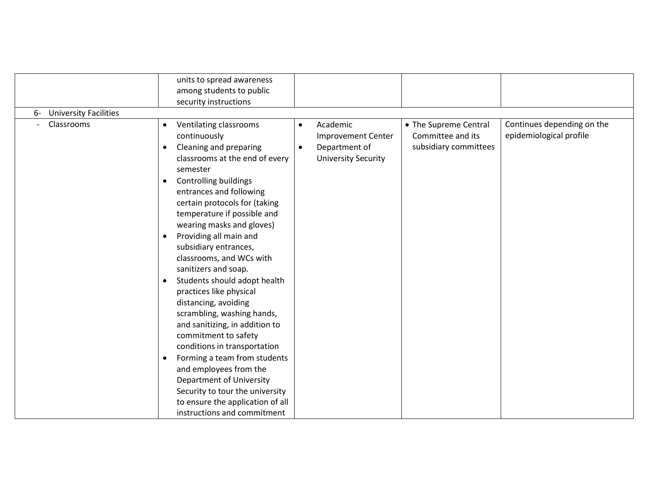|                                                  | units to spread awareness<br>among students to public<br>security instructions                                                                                                                                                                                                                                                                                                                                                                                                                                                                                                                                                                                                                                                                                                                                              |                                                                                                                |                                                                     |                                                       |
|--------------------------------------------------|-----------------------------------------------------------------------------------------------------------------------------------------------------------------------------------------------------------------------------------------------------------------------------------------------------------------------------------------------------------------------------------------------------------------------------------------------------------------------------------------------------------------------------------------------------------------------------------------------------------------------------------------------------------------------------------------------------------------------------------------------------------------------------------------------------------------------------|----------------------------------------------------------------------------------------------------------------|---------------------------------------------------------------------|-------------------------------------------------------|
| <b>University Facilities</b><br>6-<br>Classrooms | Ventilating classrooms<br>$\bullet$<br>continuously<br>Cleaning and preparing<br>classrooms at the end of every<br>semester<br><b>Controlling buildings</b><br>$\bullet$<br>entrances and following<br>certain protocols for (taking<br>temperature if possible and<br>wearing masks and gloves)<br>Providing all main and<br>subsidiary entrances,<br>classrooms, and WCs with<br>sanitizers and soap.<br>Students should adopt health<br>practices like physical<br>distancing, avoiding<br>scrambling, washing hands,<br>and sanitizing, in addition to<br>commitment to safety<br>conditions in transportation<br>Forming a team from students<br>$\bullet$<br>and employees from the<br>Department of University<br>Security to tour the university<br>to ensure the application of all<br>instructions and commitment | Academic<br>$\bullet$<br><b>Improvement Center</b><br>Department of<br>$\bullet$<br><b>University Security</b> | • The Supreme Central<br>Committee and its<br>subsidiary committees | Continues depending on the<br>epidemiological profile |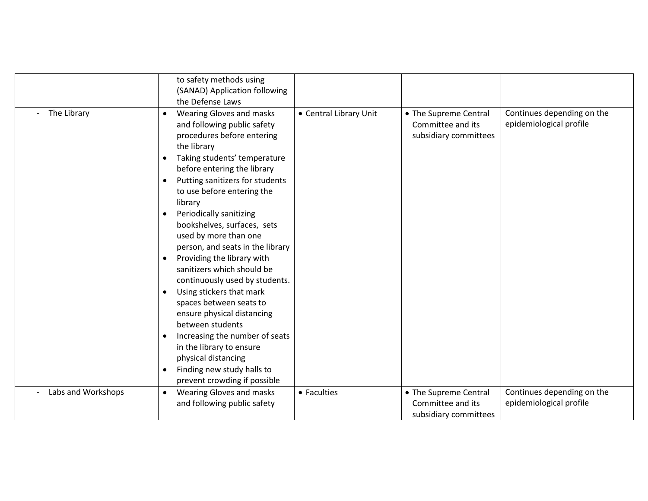|                      |                        | to safety methods using<br>(SANAD) Application following<br>the Defense Laws                                                                                                                                                                                                                                                                                                                                                                                                                                                                                                                                                                                                                            |                        |                                                                     |                                                       |
|----------------------|------------------------|---------------------------------------------------------------------------------------------------------------------------------------------------------------------------------------------------------------------------------------------------------------------------------------------------------------------------------------------------------------------------------------------------------------------------------------------------------------------------------------------------------------------------------------------------------------------------------------------------------------------------------------------------------------------------------------------------------|------------------------|---------------------------------------------------------------------|-------------------------------------------------------|
| - The Library        | $\bullet$<br>$\bullet$ | <b>Wearing Gloves and masks</b><br>and following public safety<br>procedures before entering<br>the library<br>Taking students' temperature<br>before entering the library<br>Putting sanitizers for students<br>to use before entering the<br>library<br>Periodically sanitizing<br>bookshelves, surfaces, sets<br>used by more than one<br>person, and seats in the library<br>Providing the library with<br>sanitizers which should be<br>continuously used by students.<br>Using stickers that mark<br>spaces between seats to<br>ensure physical distancing<br>between students<br>Increasing the number of seats<br>in the library to ensure<br>physical distancing<br>Finding new study halls to | • Central Library Unit | • The Supreme Central<br>Committee and its<br>subsidiary committees | Continues depending on the<br>epidemiological profile |
|                      |                        | prevent crowding if possible                                                                                                                                                                                                                                                                                                                                                                                                                                                                                                                                                                                                                                                                            |                        |                                                                     |                                                       |
| - Labs and Workshops | $\bullet$              | Wearing Gloves and masks<br>and following public safety                                                                                                                                                                                                                                                                                                                                                                                                                                                                                                                                                                                                                                                 | • Faculties            | • The Supreme Central<br>Committee and its<br>subsidiary committees | Continues depending on the<br>epidemiological profile |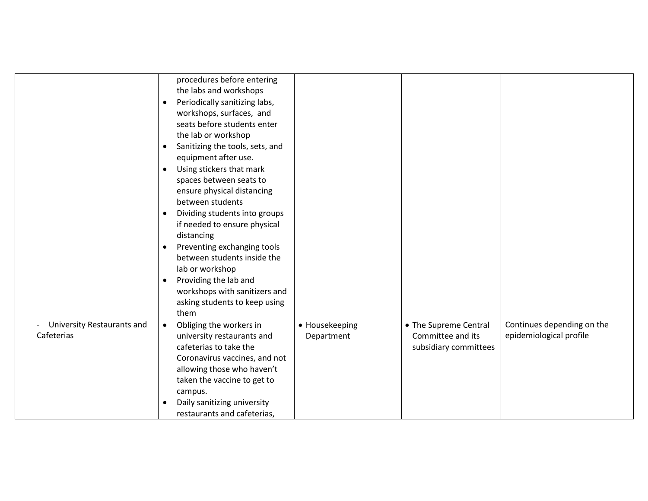|                                          | procedures before entering<br>the labs and workshops<br>Periodically sanitizing labs,<br>$\bullet$<br>workshops, surfaces, and<br>seats before students enter<br>the lab or workshop<br>Sanitizing the tools, sets, and<br>$\bullet$<br>equipment after use.<br>Using stickers that mark<br>$\bullet$<br>spaces between seats to<br>ensure physical distancing<br>between students<br>Dividing students into groups<br>$\bullet$<br>if needed to ensure physical<br>distancing<br>Preventing exchanging tools<br>$\bullet$<br>between students inside the<br>lab or workshop<br>Providing the lab and<br>$\bullet$<br>workshops with sanitizers and<br>asking students to keep using |                              |                                                                     |                                                       |
|------------------------------------------|--------------------------------------------------------------------------------------------------------------------------------------------------------------------------------------------------------------------------------------------------------------------------------------------------------------------------------------------------------------------------------------------------------------------------------------------------------------------------------------------------------------------------------------------------------------------------------------------------------------------------------------------------------------------------------------|------------------------------|---------------------------------------------------------------------|-------------------------------------------------------|
|                                          | them                                                                                                                                                                                                                                                                                                                                                                                                                                                                                                                                                                                                                                                                                 |                              |                                                                     |                                                       |
| University Restaurants and<br>Cafeterias | Obliging the workers in<br>$\bullet$<br>university restaurants and<br>cafeterias to take the<br>Coronavirus vaccines, and not<br>allowing those who haven't<br>taken the vaccine to get to<br>campus.<br>Daily sanitizing university                                                                                                                                                                                                                                                                                                                                                                                                                                                 | • Housekeeping<br>Department | • The Supreme Central<br>Committee and its<br>subsidiary committees | Continues depending on the<br>epidemiological profile |
|                                          | restaurants and cafeterias,                                                                                                                                                                                                                                                                                                                                                                                                                                                                                                                                                                                                                                                          |                              |                                                                     |                                                       |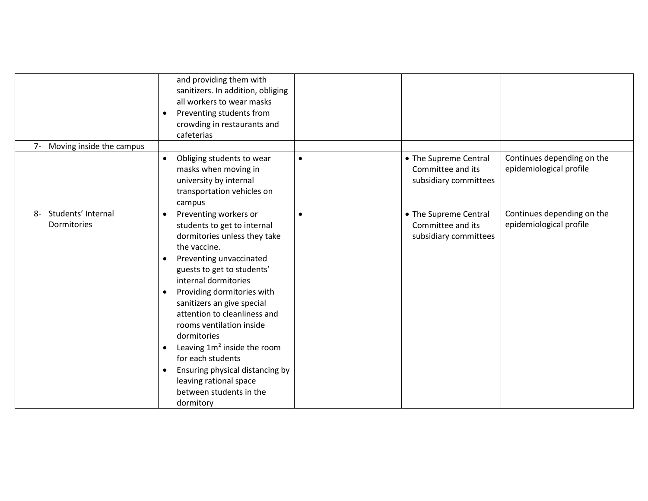| Moving inside the campus<br>$7-$        | and providing them with<br>sanitizers. In addition, obliging<br>all workers to wear masks<br>Preventing students from<br>$\bullet$<br>crowding in restaurants and<br>cafeterias                                                                                                                                                                                                                                                                                                                                                                           |           |                                                                     |                                                       |
|-----------------------------------------|-----------------------------------------------------------------------------------------------------------------------------------------------------------------------------------------------------------------------------------------------------------------------------------------------------------------------------------------------------------------------------------------------------------------------------------------------------------------------------------------------------------------------------------------------------------|-----------|---------------------------------------------------------------------|-------------------------------------------------------|
|                                         | Obliging students to wear<br>$\bullet$<br>masks when moving in<br>university by internal<br>transportation vehicles on<br>campus                                                                                                                                                                                                                                                                                                                                                                                                                          | $\bullet$ | • The Supreme Central<br>Committee and its<br>subsidiary committees | Continues depending on the<br>epidemiological profile |
| Students' Internal<br>8-<br>Dormitories | Preventing workers or<br>$\bullet$<br>students to get to internal<br>dormitories unless they take<br>the vaccine.<br>Preventing unvaccinated<br>$\bullet$<br>guests to get to students'<br>internal dormitories<br>Providing dormitories with<br>$\bullet$<br>sanitizers an give special<br>attention to cleanliness and<br>rooms ventilation inside<br>dormitories<br>Leaving $1m^2$ inside the room<br>$\bullet$<br>for each students<br>Ensuring physical distancing by<br>$\bullet$<br>leaving rational space<br>between students in the<br>dormitory | $\bullet$ | • The Supreme Central<br>Committee and its<br>subsidiary committees | Continues depending on the<br>epidemiological profile |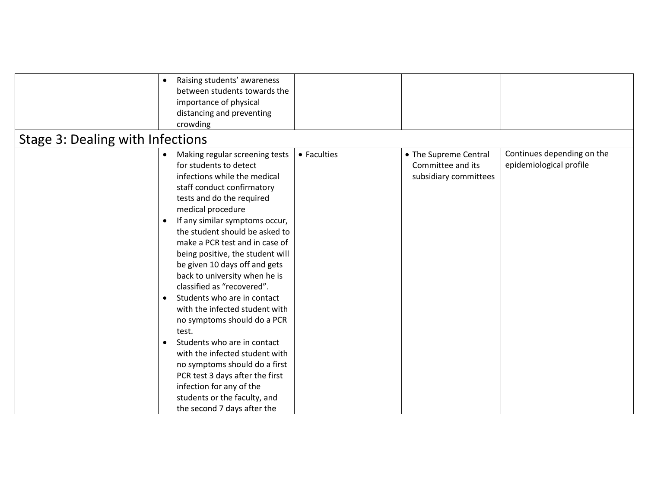| Raising students' awareness<br>$\bullet$<br>between students towards the<br>importance of physical<br>distancing and preventing<br>crowding<br>Stage 3: Dealing with Infections |                                                                                                                                                                                                                                                                                                                                                                                                                                                                                                                                                                                                                                                                                                                                                                          |             |                                                                     |                                                       |  |  |
|---------------------------------------------------------------------------------------------------------------------------------------------------------------------------------|--------------------------------------------------------------------------------------------------------------------------------------------------------------------------------------------------------------------------------------------------------------------------------------------------------------------------------------------------------------------------------------------------------------------------------------------------------------------------------------------------------------------------------------------------------------------------------------------------------------------------------------------------------------------------------------------------------------------------------------------------------------------------|-------------|---------------------------------------------------------------------|-------------------------------------------------------|--|--|
|                                                                                                                                                                                 | Making regular screening tests<br>$\bullet$<br>for students to detect<br>infections while the medical<br>staff conduct confirmatory<br>tests and do the required<br>medical procedure<br>If any similar symptoms occur,<br>the student should be asked to<br>make a PCR test and in case of<br>being positive, the student will<br>be given 10 days off and gets<br>back to university when he is<br>classified as "recovered".<br>Students who are in contact<br>with the infected student with<br>no symptoms should do a PCR<br>test.<br>Students who are in contact<br>with the infected student with<br>no symptoms should do a first<br>PCR test 3 days after the first<br>infection for any of the<br>students or the faculty, and<br>the second 7 days after the | • Faculties | • The Supreme Central<br>Committee and its<br>subsidiary committees | Continues depending on the<br>epidemiological profile |  |  |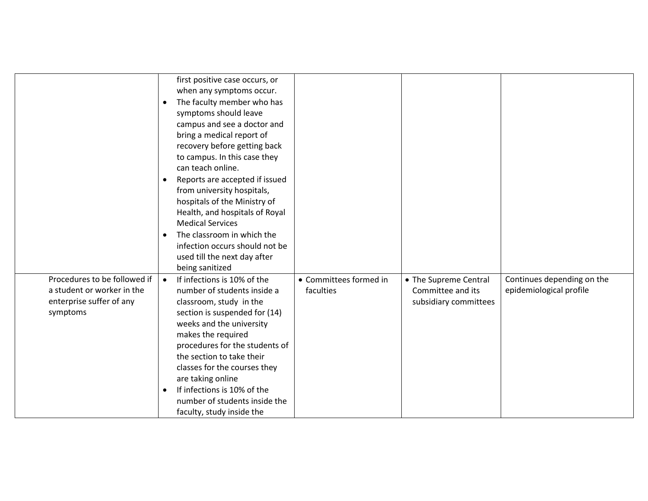|                                                                                                    | $\bullet$<br>$\bullet$<br>$\bullet$ | first positive case occurs, or<br>when any symptoms occur.<br>The faculty member who has<br>symptoms should leave<br>campus and see a doctor and<br>bring a medical report of<br>recovery before getting back<br>to campus. In this case they<br>can teach online.<br>Reports are accepted if issued<br>from university hospitals,<br>hospitals of the Ministry of<br>Health, and hospitals of Royal<br><b>Medical Services</b><br>The classroom in which the<br>infection occurs should not be<br>used till the next day after |                                     |                                                                     |                                                       |
|----------------------------------------------------------------------------------------------------|-------------------------------------|---------------------------------------------------------------------------------------------------------------------------------------------------------------------------------------------------------------------------------------------------------------------------------------------------------------------------------------------------------------------------------------------------------------------------------------------------------------------------------------------------------------------------------|-------------------------------------|---------------------------------------------------------------------|-------------------------------------------------------|
| Procedures to be followed if<br>a student or worker in the<br>enterprise suffer of any<br>symptoms | $\bullet$<br>$\bullet$              | being sanitized<br>If infections is 10% of the<br>number of students inside a<br>classroom, study in the<br>section is suspended for (14)<br>weeks and the university<br>makes the required<br>procedures for the students of<br>the section to take their<br>classes for the courses they<br>are taking online<br>If infections is 10% of the<br>number of students inside the<br>faculty, study inside the                                                                                                                    | • Committees formed in<br>faculties | • The Supreme Central<br>Committee and its<br>subsidiary committees | Continues depending on the<br>epidemiological profile |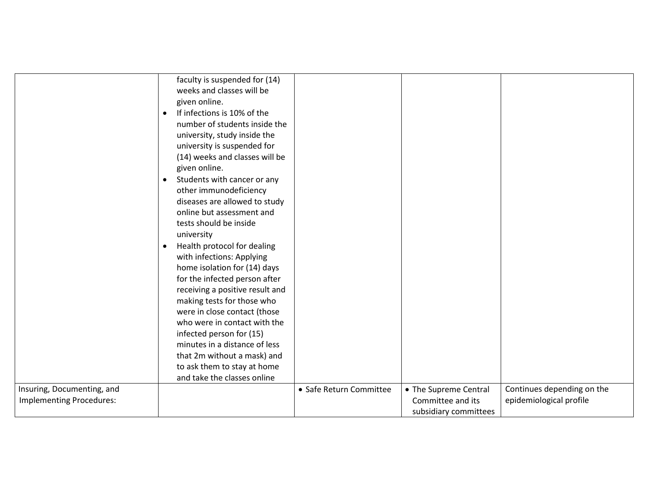|                                 | faculty is suspended for (14)            |                         |                       |                            |
|---------------------------------|------------------------------------------|-------------------------|-----------------------|----------------------------|
|                                 | weeks and classes will be                |                         |                       |                            |
|                                 | given online.                            |                         |                       |                            |
|                                 | If infections is 10% of the<br>$\bullet$ |                         |                       |                            |
|                                 | number of students inside the            |                         |                       |                            |
|                                 | university, study inside the             |                         |                       |                            |
|                                 | university is suspended for              |                         |                       |                            |
|                                 | (14) weeks and classes will be           |                         |                       |                            |
|                                 | given online.                            |                         |                       |                            |
|                                 | Students with cancer or any<br>$\bullet$ |                         |                       |                            |
|                                 | other immunodeficiency                   |                         |                       |                            |
|                                 | diseases are allowed to study            |                         |                       |                            |
|                                 | online but assessment and                |                         |                       |                            |
|                                 | tests should be inside                   |                         |                       |                            |
|                                 | university                               |                         |                       |                            |
|                                 | Health protocol for dealing<br>$\bullet$ |                         |                       |                            |
|                                 | with infections: Applying                |                         |                       |                            |
|                                 | home isolation for (14) days             |                         |                       |                            |
|                                 | for the infected person after            |                         |                       |                            |
|                                 | receiving a positive result and          |                         |                       |                            |
|                                 | making tests for those who               |                         |                       |                            |
|                                 | were in close contact (those             |                         |                       |                            |
|                                 | who were in contact with the             |                         |                       |                            |
|                                 | infected person for (15)                 |                         |                       |                            |
|                                 | minutes in a distance of less            |                         |                       |                            |
|                                 | that 2m without a mask) and              |                         |                       |                            |
|                                 | to ask them to stay at home              |                         |                       |                            |
|                                 | and take the classes online              |                         |                       |                            |
| Insuring, Documenting, and      |                                          | • Safe Return Committee | • The Supreme Central | Continues depending on the |
| <b>Implementing Procedures:</b> |                                          |                         | Committee and its     | epidemiological profile    |
|                                 |                                          |                         | subsidiary committees |                            |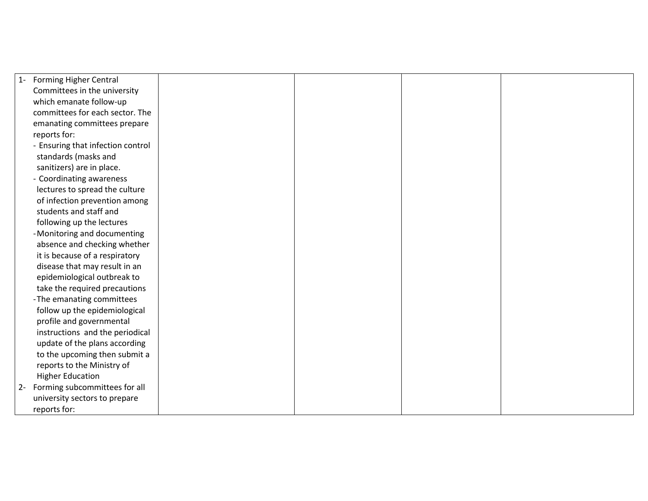| $1 -$ | <b>Forming Higher Central</b>     |  |  |
|-------|-----------------------------------|--|--|
|       | Committees in the university      |  |  |
|       | which emanate follow-up           |  |  |
|       | committees for each sector. The   |  |  |
|       | emanating committees prepare      |  |  |
|       | reports for:                      |  |  |
|       | - Ensuring that infection control |  |  |
|       | standards (masks and              |  |  |
|       | sanitizers) are in place.         |  |  |
|       | - Coordinating awareness          |  |  |
|       | lectures to spread the culture    |  |  |
|       | of infection prevention among     |  |  |
|       | students and staff and            |  |  |
|       | following up the lectures         |  |  |
|       | -Monitoring and documenting       |  |  |
|       | absence and checking whether      |  |  |
|       | it is because of a respiratory    |  |  |
|       | disease that may result in an     |  |  |
|       | epidemiological outbreak to       |  |  |
|       | take the required precautions     |  |  |
|       | -The emanating committees         |  |  |
|       | follow up the epidemiological     |  |  |
|       | profile and governmental          |  |  |
|       | instructions and the periodical   |  |  |
|       | update of the plans according     |  |  |
|       | to the upcoming then submit a     |  |  |
|       | reports to the Ministry of        |  |  |
|       | <b>Higher Education</b>           |  |  |
| $2 -$ | Forming subcommittees for all     |  |  |
|       | university sectors to prepare     |  |  |
|       | reports for:                      |  |  |